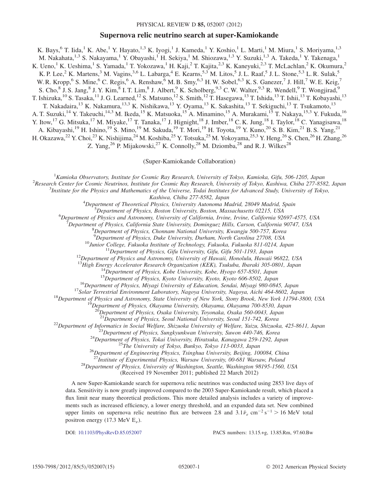## PHYSICAL REVIEW D 85, 052007 (2012)

# Supernova relic neutrino search at super-Kamiokande

K. Bays, <sup>6</sup> T. Iida,<sup>1</sup> K. Abe,<sup>1</sup> Y. Hayato,<sup>1,3</sup> K. Iyogi,<sup>1</sup> J. Kameda,<sup>1</sup> Y. Koshio,<sup>1</sup> L. Marti,<sup>1</sup> M. Miura,<sup>1</sup> S. Moriyama,<sup>1,3</sup> M. Nakahata,<sup>1,3</sup> S. Nakayama,<sup>1</sup> Y. Obayashi,<sup>1</sup> H. Sekiya,<sup>1</sup> M. Shiozawa,<sup>1,3</sup> Y. Suzuki,<sup>1,3</sup> A. Takeda,<sup>1</sup> Y. Takenaga,<sup>1</sup> K. Ueno,<sup>1</sup> K. Ueshima,<sup>1</sup> S. Yamada,<sup>1</sup> T. Yokozawa,<sup>1</sup> H. Kaji,<sup>2</sup> T. Kajita,<sup>2,3</sup> K. Kaneyuki,<sup>2,3</sup> T. McLachlan,<sup>2</sup> K. Okumura,<sup>2</sup> K. P. Lee,<sup>2</sup> K. Martens,<sup>3</sup> M. Vagins,<sup>3,6</sup> L. Labarga,<sup>4</sup> E. Kearns,<sup>5,3</sup> M. Litos,<sup>5</sup> J. L. Raaf,<sup>5</sup> J. L. Stone,<sup>5,3</sup> L. R. Sulak,<sup>5</sup> W. R. Kropp,  $6$  S. Mine,  $6$  C. Regis,  $6$  A. Renshaw,  $6$  M. B. Smy,  $6.3$  H. W. Sobel,  $6.3$  K. S. Ganezer,  $7$  J. Hill,  $7$  W. E. Keig,  $7$ S. Cho, $^8$  J. S. Jang, $^8$  J. Y. Kim, $^8$  I. T. Lim, $^8$  J. Albert, $^9$  K. Scholberg, $^{9,3}$  C. W. Walter, $^{9,3}$  R. Wendell, $^9$  T. Wongjirad, $^9$ T. Ishizuka,<sup>10</sup> S. Tasaka,<sup>11</sup> J. G. Learned,<sup>12</sup> S. Matsuno,<sup>12</sup> S. Smith,<sup>12</sup> T. Hasegawa,<sup>13</sup> T. Ishida,<sup>13</sup> T. Ishii,<sup>13</sup> T. Kobayashi,<sup>13</sup> T. Nakadaira,<sup>13</sup> K. Nakamura,<sup>13,3</sup> K. Nishikawa,<sup>13</sup> Y. Oyama,<sup>13</sup> K. Sakashita,<sup>13</sup> T. Sekiguchi,<sup>13</sup> T. Tsukamoto,<sup>13</sup> A. T. Suzuki,<sup>14</sup> Y. Takeuchi,<sup>14,3</sup> M. Ikeda,<sup>15</sup> K. Matsuoka,<sup>15</sup> A. Minamino,<sup>15</sup> A. Murakami,<sup>15</sup> T. Nakaya,<sup>15,3</sup> Y. Fukuda,<sup>16</sup> Y. Itow,<sup>17</sup> G. Mitsuka,<sup>17</sup> M. Miyake,<sup>17</sup> T. Tanaka,<sup>17</sup> J. Hignight,<sup>18</sup> J. Imber,<sup>18</sup> C. K. Jung,<sup>18</sup> I. Taylor,<sup>18</sup> C. Yanagisawa,<sup>18</sup> A. Kibayashi,<sup>19</sup> H. Ishino,<sup>19</sup> S. Mino,<sup>19</sup> M. Sakuda,<sup>19</sup> T. Mori,<sup>19</sup> H. Toyota,<sup>19</sup> Y. Kuno,<sup>20</sup> S. B. Kim,<sup>21</sup> B. S. Yang,<sup>21</sup> H. Okazawa,<sup>22</sup> Y. Choi,<sup>23</sup> K. Nishijima,<sup>24</sup> M. Koshiba,<sup>25</sup> Y. Totsuka,<sup>25</sup> M. Yokoyama,<sup>25,3</sup> Y. Heng,<sup>26</sup> S. Chen,<sup>26</sup> H. Zhang,<sup>26</sup> Z. Yang,<sup>26</sup> P. Mijakowski,<sup>27</sup> K. Connolly,<sup>28</sup> M. Dziomba,<sup>28</sup> and R. J. Wilkes<sup>28</sup>

(Super-Kamiokande Collaboration)

<sup>1</sup> Kamioka Observatory, Institute for Cosmic Ray Research, University of Tokyo, Kamioka, Gifu, 506-1205, Japan <sup>2</sup> Research Center for Cosmic Nautrinos, Institute for Cosmic Ray Research University of Tokyo, Kashiya, Chib

<sup>2</sup>Research Center for Cosmic Neutrinos, Institute for Cosmic Ray Research, University of Tokyo, Kashiwa, Chiba 277-8582, Japan

<sup>3</sup>Institute for the Physics and Mathematics of the Universe, Todai Institutes for Advanced Study, University of Tokyo,

Kashiwa, Chiba 277-8582, Japan<br><sup>4</sup> Department of Theoratical Physics, University Autonoma M

Department of Theoretical Physics, University Autonoma Madrid, 28049 Madrid, Spain <sup>5</sup>

 $^5$ Department of Physics, Boston University, Boston, Massachusetts 02215, USA

 ${}^{6}$ Department of Physics and Astronomy, University of California, Irvine, Irvine, California 92697-4575, USA

<sup>7</sup>Department of Physics, California State University, Dominguez Hills, Carson, California 90747, USA

 $8$ Department of Physics, Chonnam National University, Kwangju 500-757, Korea

<sup>9</sup>Department of Physics, Duke University, Durham, North Carolina 27708, USA

<sup>10</sup>Junior College, Fukuoka Institute of Technology, Fukuoka, Fukuoka 811-0214, Japan<br><sup>11</sup>Department of Physics, Gifu University, Gifu, Gifu 501-1193, Japan<br><sup>12</sup>Department of Physics and Astronomy, University of Hawaii, H

<sup>14</sup>Department of Physics, Kobe University, Kobe, Hyogo 657-8501, Japan<br><sup>15</sup>Department of Physics, Kyoto University, Kyoto, Kyoto 606-8502, Japan<br><sup>16</sup>Department of Physics, Miyagi University of Education, Sendai, Miyagi 9

<sup>20</sup>Department of Physics, Osaka University, Toyonaka, Osaka 560-0043, Japan<br><sup>21</sup>Department of Physics, Seoul National University, Seoul 151-742, Korea

<sup>22</sup>Department of Informatics in Social Welfare, Shizuoka University of Welfare, Yaizu, Shizuoka, 425-8611, Japan<br><sup>23</sup>Department of Physics, Sungkyunkwan University, Suwon 440-746, Korea<br><sup>24</sup>Department of Physics, Tokai U

<sup>28</sup>Department of Physics, University of Washington, Seattle, Washington 98195-1560, USA

(Received 19 November 2011; published 22 March 2012)

A new Super-Kamiokande search for supernova relic neutrinos was conducted using 2853 live days of data. Sensitivity is now greatly improved compared to the 2003 Super-Kamiokande result, which placed a flux limit near many theoretical predictions. This more detailed analysis includes a variety of improvements such as increased efficiency, a lower energy threshold, and an expanded data set. New combined upper limits on supernova relic neutrino flux are between 2.8 and  $3.1\bar{\nu}_e$  cm<sup>-2</sup> s<sup>-1</sup> > 16 MeV total positron energy (17.3 MeV  $E<sub>v</sub>$ ).

DOI: [10.1103/PhysRevD.85.052007](http://dx.doi.org/10.1103/PhysRevD.85.052007) PACS numbers: 13.15.+g, 13.85.Rm, 97.60.Bw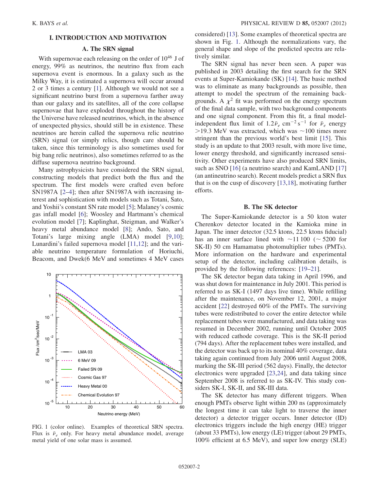# I. INTRODUCTION AND MOTIVATION

## A. The SRN signal

With supernovae each releasing on the order of  $10^{46}$  J of energy, 99% as neutrinos, the neutrino flux from each supernova event is enormous. In a galaxy such as the Milky Way, it is estimated a supernova will occur around 2 or 3 times a century [\[1](#page-13-0)]. Although we would not see a significant neutrino burst from a supernova farther away than our galaxy and its satellites, all of the core collapse supernovae that have exploded throughout the history of the Universe have released neutrinos, which, in the absence of unexpected physics, should still be in existence. These neutrinos are herein called the supernova relic neutrino (SRN) signal (or simply relics, though care should be taken, since this terminology is also sometimes used for big bang relic neutrinos), also sometimes referred to as the diffuse supernova neutrino background.

Many astrophysicists have considered the SRN signal, constructing models that predict both the flux and the spectrum. The first models were crafted even before SN1987A [[2](#page-13-1)[–4\]](#page-13-2); then after SN1987A with increasing interest and sophistication with models such as Totani, Sato, and Yoshii's constant SN rate model [[5\]](#page-13-3); Malaney's cosmic gas infall model [\[6\]](#page-13-4); Woosley and Hartmann's chemical evolution model [[7](#page-13-5)]; Kaplinghat, Steigman, and Walker's heavy metal abundance model [\[8\]](#page-13-6); Ando, Sato, and Totani's large mixing angle (LMA) model [\[9,](#page-13-7)[10\]](#page-13-8); Lunardini's failed supernova model [[11](#page-13-9),[12](#page-13-10)]; and the variable neutrino temperature formulation of Horiuchi, Beacom, and Dwek(6 MeV and sometimes 4 MeV cases

<span id="page-1-0"></span>

FIG. 1 (color online). Examples of theoretical SRN spectra. Flux is  $\bar{\nu}_e$  only. For heavy metal abundance model, average metal yield of one solar mass is assumed.

considered) [[13](#page-13-11)]. Some examples of theoretical spectra are shown in Fig. [1](#page-1-0). Although the normalizations vary, the general shape and slope of the predicted spectra are relatively similar.

The SRN signal has never been seen. A paper was published in 2003 detailing the first search for the SRN events at Super-Kamiokande (SK) [[14\]](#page-13-12). The basic method was to eliminate as many backgrounds as possible, then attempt to model the spectrum of the remaining backgrounds. A  $\chi^2$  fit was performed on the energy spectrum of the final data sample, with two background components and one signal component. From this fit, a final modelindependent flux limit of  $1.2\bar{\nu}_e$  cm<sup>-2</sup> s<sup>-1</sup> for  $\bar{\nu}_e$  energy  $>$ 19.3 MeV was extracted, which was  $\sim$ 100 times more stringent than the previous world's best limit [\[15\]](#page-14-0). This study is an update to that 2003 result, with more live time, lower energy threshold, and significantly increased sensitivity. Other experiments have also produced SRN limits, such as SNO [\[16\]](#page-14-1) (a neutrino search) and KamLAND [\[17\]](#page-14-2) (an antineutrino search). Recent models predict a SRN flux that is on the cusp of discovery [[13,](#page-13-11)[18](#page-14-3)], motivating further efforts.

# B. The SK detector

The Super-Kamiokande detector is a 50 kton water Cherenkov detector located in the Kamioka mine in Japan. The inner detector (32.5 ktons, 22.5 ktons fiducial) has an inner surface lined with  $\sim$ 11 100 ( $\sim$  5200 for SK-II) 50 cm Hamamatsu photomultiplier tubes (PMTs). More information on the hardware and experimental setup of the detector, including calibration details, is provided by the following references: [\[19–](#page-14-4)[21](#page-14-5)].

The SK detector began data taking in April 1996, and was shut down for maintenance in July 2001. This period is referred to as SK-I (1497 days live time). While refilling after the maintenance, on November 12, 2001, a major accident [[22](#page-14-6)] destroyed 60% of the PMTs. The surviving tubes were redistributed to cover the entire detector while replacement tubes were manufactured, and data taking was resumed in December 2002, running until October 2005 with reduced cathode coverage. This is the SK-II period (794 days). After the replacement tubes were installed, and the detector was back up to its nominal 40% coverage, data taking again continued from July 2006 until August 2008, marking the SK-III period (562 days). Finally, the detector electronics were upgraded [[23](#page-14-7),[24](#page-14-8)], and data taking since September 2008 is referred to as SK-IV. This study considers SK-I, SK-II, and SK-III data.

The SK detector has many different triggers. When enough PMTs observe light within 200 ns (approximately the longest time it can take light to traverse the inner detector) a detector trigger occurs. Inner detector (ID) electronics triggers include the high energy (HE) trigger (about 33 PMTs), low energy (LE) trigger (about 29 PMTs, 100% efficient at 6.5 MeV), and super low energy (SLE)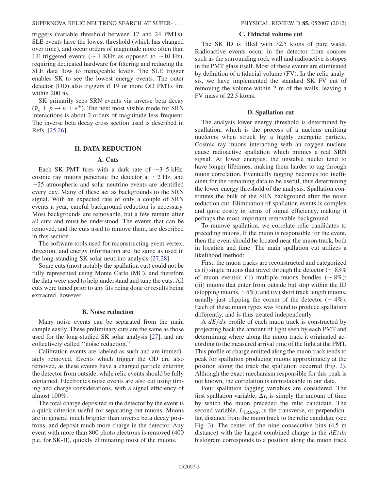triggers (variable threshold between 17 and 24 PMTs). SLE events have the lowest threshold (which has changed over time), and occur orders of magnitude more often than LE triggered events ( $\sim$  1 KHz as opposed to  $\sim$  10 Hz), requiring dedicated hardware for filtering and reducing the SLE data flow to manageable levels. The SLE trigger enables SK to see the lowest energy events. The outer detector (OD) also triggers if 19 or more OD PMTs fire within 200 ns.

SK primarily sees SRN events via inverse beta decay  $(\bar{\nu}_e + p \rightarrow n + e^+)$ . The next most visible mode for SRN interactions is about 2 orders of magnitude less frequent. The inverse beta decay cross section used is described in Refs. [\[25](#page-14-9)[,26\]](#page-14-10).

## II. DATA REDUCTION

#### A. Cuts

Each SK PMT fires with a dark rate of  $\sim$ 3–5 kHz; cosmic ray muons penetrate the detector at  $\sim$ 2 Hz, and  $\sim$ 25 atmospheric and solar neutrino events are identified every day. Many of these act as backgrounds to the SRN signal. With an expected rate of only a couple of SRN events a year, careful background reduction is necessary. Most backgrounds are removable, but a few remain after all cuts and must be understood. The events that can be removed, and the cuts used to remove them, are described in this section.

The software tools used for reconstructing event vertex, direction, and energy information are the same as used in the long-standing SK solar neutrino analysis [\[27](#page-14-11)[,28\]](#page-14-12).

Some cuts (most notably the spallation cut) could not be fully represented using Monte Carlo (MC), and therefore the data were used to help understand and tune the cuts. All cuts were tuned prior to any fits being done or results being extracted, however.

## B. Noise reduction

Many noise events can be separated from the main sample easily. These preliminary cuts are the same as those used for the long-studied SK solar analysis [\[27\]](#page-14-11), and are collectively called ''noise reduction.''

Calibration events are labeled as such and are immediately removed. Events which trigger the OD are also removed, as these events have a charged particle entering the detector from outside, while relic events should be fully contained. Electronics noise events are also cut using timing and charge considerations, with a signal efficiency of almost 100%.

The total charge deposited in the detector by the event is a quick criterion useful for separating out muons. Muons are in general much brighter than inverse beta decay positrons, and deposit much more charge in the detector. Any event with more than 800 photo electrons is removed (400 p.e. for SK-II), quickly eliminating most of the muons.

## C. Fiducial volume cut

The SK ID is filled with 32.5 ktons of pure water. Radioactive events occur in the detector from sources such as the surrounding rock wall and radioactive isotopes in the PMT glass itself. Most of these events are eliminated by definition of a fiducial volume (FV). In the relic analysis, we have implemented the standard SK FV cut of removing the volume within 2 m of the walls, leaving a FV mass of 22.5 ktons.

## D. Spallation cut

The analysis lower energy threshold is determined by spallation, which is the process of a nucleus emitting nucleons when struck by a highly energetic particle. Cosmic ray muons interacting with an oxygen nucleus cause radioactive spallation which mimics a real SRN signal. At lower energies, the unstable nuclei tend to have longer lifetimes, making them harder to tag through muon correlation. Eventually tagging becomes too inefficient for the remaining data to be useful, thus determining the lower energy threshold of the analysis. Spallation constitutes the bulk of the SRN background after the noise reduction cut. Elimination of spallation events is complex and quite costly in terms of signal efficiency, making it perhaps the most important removable background.

To remove spallation, we correlate relic candidates to preceding muons. If the muon is responsible for the event, then the event should be located near the muon track, both in location and time. The main spallation cut utilizes a likelihood method:

First, the muon tracks are reconstructed and categorized as (i) single muons that travel through the detector ( $\sim 83\%$ of muon events); (ii) multiple muons bundles  $({\sim} 8\%)$ ; (iii) muons that enter from outside but stop within the ID (stopping muons,  $\sim$  5%); and (iv) short track length muons, usually just clipping the corner of the detector  $({\sim}4\%)$ . Each of these muon types was found to produce spallation differently, and is thus treated independently.

A  $dE/dx$  profile of each muon track is constructed by projecting back the amount of light seen by each PMT and determining where along the muon track it originated according to the measured arrival time of the light at the PMT. This profile of charge emitted along the muon track tends to peak for spallation producing muons approximately at the position along the track the spallation occurred (Fig. [2\)](#page-3-0). Although the exact mechanism responsible for this peak is not known, the correlation is unmistakable in our data.

Four spallation tagging variables are considered. The first spallation variable,  $\Delta t$ , is simply the amount of time by which the muon preceded the relic candidate. The second variable,  $L_{\text{TRANS}}$ , is the transverse, or perpendicular, distance from the muon track to the relic candidate (see Fig. [3](#page-3-1)). The center of the nine consecutive bins (4.5 m distance) with the largest combined charge in the  $dE/dx$ histogram corresponds to a position along the muon track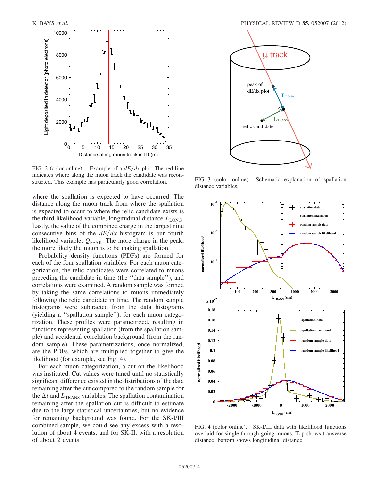<span id="page-3-0"></span>

FIG. 2 (color online). Example of a  $dE/dx$  plot. The red line indicates where along the muon track the candidate was reconstructed. This example has particularly good correlation.

where the spallation is expected to have occurred. The distance along the muon track from where the spallation is expected to occur to where the relic candidate exists is the third likelihood variable, longitudinal distance  $L_{\text{LONG}}$ . Lastly, the value of the combined charge in the largest nine consecutive bins of the  $dE/dx$  histogram is our fourth likelihood variable,  $Q_{\text{PEAK}}$ . The more charge in the peak, the more likely the muon is to be making spallation.

Probability density functions (PDFs) are formed for each of the four spallation variables. For each muon categorization, the relic candidates were correlated to muons preceding the candidate in time (the ''data sample''), and correlations were examined. A random sample was formed by taking the same correlations to muons immediately following the relic candidate in time. The random sample histograms were subtracted from the data histograms (yielding a ''spallation sample''), for each muon categorization. These profiles were parametrized, resulting in functions representing spallation (from the spallation sample) and accidental correlation background (from the random sample). These parametrizations, once normalized, are the PDFs, which are multiplied together to give the likelihood (for example, see Fig. [4\)](#page-3-2).

For each muon categorization, a cut on the likelihood was instituted. Cut values were tuned until no statistically significant difference existed in the distributions of the data remaining after the cut compared to the random sample for the  $\Delta t$  and  $L_{\text{TRANS}}$  variables. The spallation contamination remaining after the spallation cut is difficult to estimate due to the large statistical uncertainties, but no evidence for remaining background was found. For the SK-I/III combined sample, we could see any excess with a resolution of about 4 events; and for SK-II, with a resolution of about 2 events.

<span id="page-3-1"></span>

FIG. 3 (color online). Schematic explanation of spallation distance variables.

<span id="page-3-2"></span>

FIG. 4 (color online). SK-I/III data with likelihood functions overlaid for single through-going muons. Top shows transverse distance; bottom shows longitudinal distance.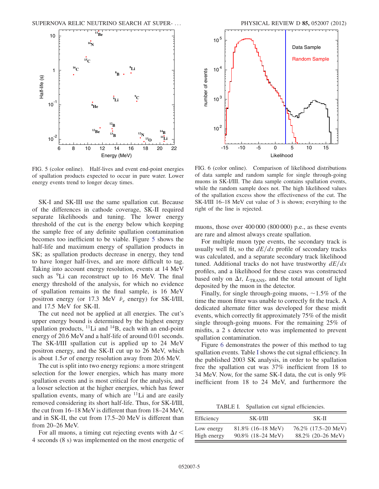<span id="page-4-0"></span>

FIG. 5 (color online). Half-lives and event end-point energies of spallation products expected to occur in pure water. Lower energy events trend to longer decay times.

SK-I and SK-III use the same spallation cut. Because of the differences in cathode coverage, SK-II required separate likelihoods and tuning. The lower energy threshold of the cut is the energy below which keeping the sample free of any definite spallation contamination becomes too inefficient to be viable. Figure [5](#page-4-0) shows the half-life and maximum energy of spallation products in SK; as spallation products decrease in energy, they tend to have longer half-lives, and are more difficult to tag. Taking into account energy resolution, events at 14 MeV such as  ${}^{9}Li$  can reconstruct up to 16 MeV. The final energy threshold of the analysis, for which no evidence of spallation remains in the final sample, is 16 MeV positron energy (or 17.3 MeV  $\bar{\nu}_e$  energy) for SK-I/III, and 17.5 MeV for SK-II.

The cut need not be applied at all energies. The cut's upper energy bound is determined by the highest energy spallation products,  $^{11}$ Li and  $^{14}$ B, each with an end-point energy of 20.6 MeV and a half-life of around 0.01 seconds. The SK-I/III spallation cut is applied up to 24 MeV positron energy, and the SK-II cut up to 26 MeV, which is about 1.5 $\sigma$  of energy resolution away from 20.6 MeV.

The cut is split into two energy regions: a more stringent selection for the lower energies, which has many more spallation events and is most critical for the analysis, and a looser selection at the higher energies, which has fewer spallation events, many of which are  $11$ Li and are easily removed considering its short half-life. Thus, for SK-I/III, the cut from 16–18 MeV is different than from 18–24 MeV, and in SK-II, the cut from 17.5–20 MeV is different than from 20–26 MeV.

For all muons, a timing cut rejecting events with  $\Delta t$  < 4 seconds (8 s) was implemented on the most energetic of

<span id="page-4-1"></span>

FIG. 6 (color online). Comparison of likelihood distributions of data sample and random sample for single through-going muons in SK-I/III. The data sample contains spallation events, while the random sample does not. The high likelihood values of the spallation excess show the effectiveness of the cut. The SK-I/III 16–18 MeV cut value of 3 is shown; everything to the right of the line is rejected.

muons, those over 400 000 (800 000) p.e., as these events are rare and almost always create spallation.

For multiple muon type events, the secondary track is usually well fit, so the  $dE/dx$  profile of secondary tracks was calculated, and a separate secondary track likelihood tuned. Additional tracks do not have trustworthy  $dE/dx$ profiles, and a likelihood for these cases was constructed based only on  $\Delta t$ ,  $L_{\text{TRANS}}$ , and the total amount of light deposited by the muon in the detector.

Finally, for single through-going muons,  $\sim$ 1.5% of the time the muon fitter was unable to correctly fit the track. A dedicated alternate fitter was developed for these misfit events, which correctly fit approximately 75% of the misfit single through-going muons. For the remaining 25% of misfits, a 2 s detector veto was implemented to prevent spallation contamination.

Figure [6](#page-4-1) demonstrates the power of this method to tag spallation events. Table [I](#page-4-2) shows the cut signal efficiency. In the published 2003 SK analysis, in order to be spallation free the spallation cut was 37% inefficient from 18 to 34 MeV. Now, for the same SK-I data, the cut is only 9% inefficient from 18 to 24 MeV, and furthermore the

TABLE I. Spallation cut signal efficiencies.

<span id="page-4-2"></span>

| Efficiency  | SK-I/III             | $SK-III$            |
|-------------|----------------------|---------------------|
| Low energy  | $81.8\%$ (16–18 MeV) | 76.2% (17.5–20 MeV) |
| High energy | $90.8\%$ (18–24 MeV) | 88.2% (20–26 MeV)   |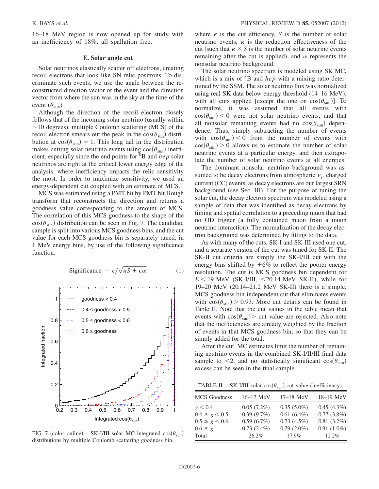16–18 MeV region is now opened up for study with an inefficiency of 18%, all spallation free.

## E. Solar angle cut

Solar neutrinos elastically scatter off electrons, creating recoil electrons that look like SN relic positrons. To discriminate such events, we use the angle between the reconstructed direction vector of the event and the direction vector from where the sun was in the sky at the time of the event  $(\theta_{\text{sun}})$ .

Although the direction of the recoil electron closely follows that of the incoming solar neutrino (usually within  $\sim$ 10 degrees), multiple Coulomb scattering (MCS) of the recoil electron smears out the peak in the  $cos(\theta_{sun})$  distribution at  $cos(\theta_{sun}) = 1$ . This long tail in the distribution makes cutting solar neutrino events using  $cos(\theta_{sun})$  inefficient, especially since the end points for  ${}^{8}B$  and  $hep$  solar neutrinos are right at the critical lower energy edge of the analysis, where inefficiency impacts the relic sensitivity the most. In order to maximize sensitivity, we used an energy-dependent cut coupled with an estimate of MCS.

MCS was estimated using a PMT hit by PMT hit Hough transform that reconstructs the direction and returns a goodness value corresponding to the amount of MCS. The correlation of this MCS goodness to the shape of the  $cos(\theta_{sun})$  distribution can be seen in Fig. [7.](#page-5-0) The candidate sample is split into various MCS goodness bins, and the cut value for each MCS goodness bin is separately tuned, in 1 MeV energy bins, by use of the following significance function:

$$
Significance = \epsilon / \sqrt{\kappa S + \epsilon \alpha}, \qquad (1)
$$

<span id="page-5-0"></span>

FIG. 7 (color online). SK-I/III solar MC integrated  $cos(\theta_{sun})$ distributions by multiple Coulomb scattering goodness bin.

where  $\epsilon$  is the cut efficiency, S is the number of solar neutrino events,  $\kappa$  is the reduction effectiveness of the cut (such that  $\kappa \times S$  is the number of solar neutrino events remaining after the cut is applied), and  $\alpha$  represents the nonsolar neutrino background.

The solar neutrino spectrum is modeled using SK MC, which is a mix of  ${}^{8}B$  and *hep* with a mixing ratio determined by the SSM. The solar neutrino flux was normalized using real SK data below energy threshold (14–16 MeV), with all cuts applied [except the one on  $cos(\theta_{sun})$ ]. To normalize, it was assumed that all events with  $cos(\theta_{sun})$  < 0 were not solar neutrino events, and that all nonsolar remaining events had no  $cos(\theta_{sun})$  dependence. Thus, simply subtracting the number of events with  $cos(\theta_{sun})$  < 0 from the number of events with  $cos(\theta_{sun}) > 0$  allows us to estimate the number of solar neutrino events at a particular energy, and then extrapolate the number of solar neutrino events at all energies.

The dominant nonsolar neutrino background was assumed to be decay electrons from atmospheric  $\nu_{\mu}$  charged current (CC) events, as decay electrons are our largest SRN background (see Sec. [III](#page-7-0)). For the purpose of tuning the solar cut, the decay electron spectrum was modeled using a sample of data that was identified as decay electrons by timing and spatial correlation to a preceding muon that had no OD trigger (a fully contained muon from a muon neutrino interaction). The normalization of the decay electron background was determined by fitting to the data.

As with many of the cuts, SK-I and SK-III used one cut, and a separate version of the cut was tuned for SK-II. The SK-II cut criteria are simply the SK-I/III cut with the energy bins shifted by  $+6\%$  to reflect the poorer energy resolution. The cut is MCS goodness bin dependent for  $E < 19$  MeV (SK-I/III,  $< 20.14$  MeV SK-II), while for 19–20 MeV (20.14–21.2 MeV SK-II) there is a simple, MCS goodness bin-independent cut that eliminates events with  $cos(\theta_{sun}) > 0.93$ . More cut details can be found in Table [II](#page-5-1). Note that the cut values in the table mean that events with  $cos(\theta_{sun})$  cut value are rejected. Also note that the inefficiencies are already weighted by the fraction of events in that MCS goodness bin, so that they can be simply added for the total.

After the cut, MC estimates limit the number of remaining neutrino events in the combined SK-I/II/III final data sample to  $\leq 2$ , and no statistically significant  $\cos(\theta_{\rm sun})$ excess can be seen in the final sample.

<span id="page-5-1"></span>TABLE II. SK-I/III solar  $cos(\theta_{sun})$  cut value (inefficiency).

| <b>MCS</b> Goodness   | $16-17$ MeV   | $17-18$ MeV   | 18-19 MeV     |
|-----------------------|---------------|---------------|---------------|
| g < 0.4               | $0.05(7.2\%)$ | $0.35(5.0\%)$ | $0.45(4.3\%)$ |
| $0.4 \leq g \leq 0.5$ | $0.39(9.7\%)$ | $0.61(6.4\%)$ | $0.77(3.8\%)$ |
| $0.5 \leq g \leq 0.6$ | $0.59(6.7\%)$ | $0.73(4.5\%)$ | $0.81(3.2\%)$ |
| $0.6 \leq g$          | $0.73(2.4\%)$ | $0.79(2.0\%)$ | $0.91(1.0\%)$ |
| Total                 | 26.2%         | 17.9%         | 12.2%         |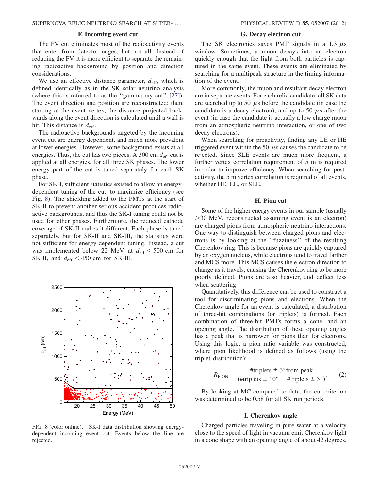## F. Incoming event cut

The FV cut eliminates most of the radioactivity events that enter from detector edges, but not all. Instead of reducing the FV, it is more efficient to separate the remaining radioactive background by position and direction considerations.

We use an effective distance parameter,  $d_{\text{eff}}$ , which is defined identically as in the SK solar neutrino analysis (where this is referred to as the ''gamma ray cut'' [\[27](#page-14-11)]). The event direction and position are reconstructed; then, starting at the event vertex, the distance projected backwards along the event direction is calculated until a wall is hit. This distance is  $d_{\text{eff}}$ .

The radioactive backgrounds targeted by the incoming event cut are energy dependent, and much more prevalent at lower energies. However, some background exists at all energies. Thus, the cut has two pieces. A 300 cm  $d_{\text{eff}}$  cut is applied at all energies, for all three SK phases. The lower energy part of the cut is tuned separately for each SK phase.

For SK-I, sufficient statistics existed to allow an energydependent tuning of the cut, to maximize efficiency (see Fig. [8\)](#page-6-0). The shielding added to the PMTs at the start of SK-II to prevent another serious accident produces radioactive backgrounds, and thus the SK-I tuning could not be used for other phases. Furthermore, the reduced cathode coverage of SK-II makes it different. Each phase is tuned separately, but for SK-II and SK-III, the statistics were not sufficient for energy-dependent tuning. Instead, a cut was implemented below 22 MeV, at  $d_{\text{eff}} < 500$  cm for SK-II, and  $d_{\text{eff}} < 450$  cm for SK-III.

<span id="page-6-0"></span>

FIG. 8 (color online). SK-I data distribution showing energydependent incoming event cut. Events below the line are rejected.

## G. Decay electron cut

The SK electronics saves PMT signals in a 1.3  $\mu$ s window. Sometimes, a muon decays into an electron quickly enough that the light from both particles is captured in the same event. These events are eliminated by searching for a multipeak structure in the timing information of the event.

More commonly, the muon and resultant decay electron are in separate events. For each relic candidate, all SK data are searched up to 50  $\mu$ s before the candidate (in case the candidate is a decay electron), and up to 50  $\mu$ s after the event (in case the candidate is actually a low charge muon from an atmospheric neutrino interaction, or one of two decay electrons).

When searching for preactivity, finding any LE or HE triggered event within the 50  $\mu$ s causes the candidate to be rejected. Since SLE events are much more frequent, a further vertex correlation requirement of 5 m is required in order to improve efficiency. When searching for postactivity, the 5 m vertex correlation is required of all events, whether HE, LE, or SLE.

# H. Pion cut

Some of the higher energy events in our sample (usually >30 MeV, reconstructed assuming event is an electron) are charged pions from atmospheric neutrino interactions. One way to distinguish between charged pions and electrons is by looking at the ''fuzziness'' of the resulting Cherenkov ring. This is because pions are quickly captured by an oxygen nucleus, while electrons tend to travel farther and MCS more. This MCS causes the electron direction to change as it travels, causing the Cherenkov ring to be more poorly defined. Pions are also heavier, and deflect less when scattering.

Quantitatively, this difference can be used to construct a tool for discriminating pions and electrons. When the Cherenkov angle for an event is calculated, a distribution of three-hit combinations (or triplets) is formed. Each combination of three-hit PMTs forms a cone, and an opening angle. The distribution of these opening angles has a peak that is narrower for pions than for electrons. Using this logic, a pion ratio variable was constructed, where pion likelihood is defined as follows (using the triplet distribution):

$$
R_{\text{PION}} = \frac{\text{#triplets} \pm 3^{\circ} \text{from peak}}{(\text{#triplets} \pm 10^{\circ} - \text{#triplets} \pm 3^{\circ})}. \tag{2}
$$

By looking at MC compared to data, the cut criterion was determined to be 0.58 for all SK run periods.

## I. Cherenkov angle

Charged particles traveling in pure water at a velocity close to the speed of light in vacuum emit Cherenkov light in a cone shape with an opening angle of about 42 degrees.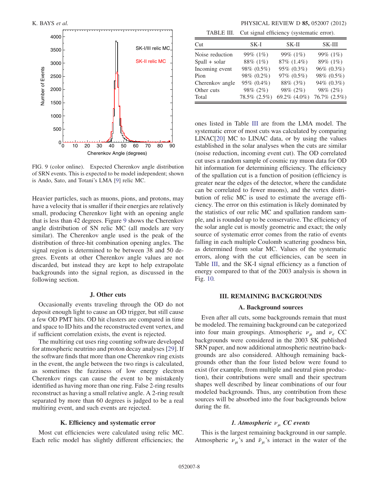<span id="page-7-1"></span>

FIG. 9 (color online). Expected Cherenkov angle distribution of SRN events. This is expected to be model independent; shown is Ando, Sato, and Totani's LMA [\[9](#page-13-7)] relic MC.

Heavier particles, such as muons, pions, and protons, may have a velocity that is smaller if their energies are relatively small, producing Cherenkov light with an opening angle that is less than 42 degrees. Figure [9](#page-7-1) shows the Cherenkov angle distribution of SN relic MC (all models are very similar). The Cherenkov angle used is the peak of the distribution of three-hit combination opening angles. The signal region is determined to be between 38 and 50 degrees. Events at other Cherenkov angle values are not discarded, but instead they are kept to help extrapolate backgrounds into the signal region, as discussed in the following section.

## J. Other cuts

Occasionally events traveling through the OD do not deposit enough light to cause an OD trigger, but still cause a few OD PMT hits. OD hit clusters are compared in time and space to ID hits and the reconstructed event vertex, and if sufficient correlation exists, the event is rejected.

The multiring cut uses ring counting software developed for atmospheric neutrino and proton decay analyses [\[29\]](#page-14-13). If the software finds that more than one Cherenkov ring exists in the event, the angle between the two rings is calculated, as sometimes the fuzziness of low energy electron Cherenkov rings can cause the event to be mistakenly identified as having more than one ring. False 2-ring results reconstruct as having a small relative angle. A 2-ring result separated by more than 60 degrees is judged to be a real multiring event, and such events are rejected.

## K. Efficiency and systematic error

Most cut efficiencies were calculated using relic MC. Each relic model has slightly different efficiencies; the

K. BAYS *et al.* PHYSICAL REVIEW D 85, 052007 (2012)

TABLE III. Cut signal efficiency (systematic error).

<span id="page-7-2"></span>

| Cut             | $SK-I$       | $SK-II$      | $SK-III$     |
|-----------------|--------------|--------------|--------------|
| Noise reduction | 99% (1%)     | 99% $(1%)$   | 99\% $(1\%)$ |
| $SpalI + solar$ | 88% (1%)     | 87% (1.4%)   | 89% (1%)     |
| Incoming event  | 98% (0.5%)   | 95% (0.3%)   | 96% (0.3%)   |
| Pion            | 98% (0.2%)   | 97% (0.5%)   | 98% (0.5%)   |
| Cherenkov angle | 95% (0.4%)   | 88% (3%)     | 94% (0.3%)   |
| Other cuts      | 98% (2%)     | 98% (2%)     | 98% (2%)     |
| Total           | 78.5% (2.5%) | 69.2% (4.0%) | 76.7% (2.5%) |

ones listed in Table [III](#page-7-2) are from the LMA model. The systematic error of most cuts was calculated by comparing LINAC[[20](#page-14-14)] MC to LINAC data, or by using the values established in the solar analyses when the cuts are similar (noise reduction, incoming event cut). The OD correlated cut uses a random sample of cosmic ray muon data for OD hit information for determining efficiency. The efficiency of the spallation cut is a function of position (efficiency is greater near the edges of the detector, where the candidate can be correlated to fewer muons), and the vertex distribution of relic MC is used to estimate the average efficiency. The error on this estimation is likely dominated by the statistics of our relic MC and spallation random sample, and is rounded up to be conservative. The efficiency of the solar angle cut is mostly geometric and exact; the only source of systematic error comes from the ratio of events falling in each multiple Coulomb scattering goodness bin, as determined from solar MC. Values of the systematic errors, along with the cut efficiencies, can be seen in Table [III](#page-7-2), and the SK-I signal efficiency as a function of energy compared to that of the 2003 analysis is shown in Fig. [10.](#page-8-0)

### <span id="page-7-0"></span>III. REMAINING BACKGROUNDS

#### A. Background sources

Even after all cuts, some backgrounds remain that must be modeled. The remaining background can be categorized into four main groupings. Atmospheric  $\nu_{\mu}$  and  $\nu_e$  CC backgrounds were considered in the 2003 SK published SRN paper, and now additional atmospheric neutrino backgrounds are also considered. Although remaining backgrounds other than the four listed below were found to exist (for example, from multiple and neutral pion production), their contributions were small and their spectrum shapes well described by linear combinations of our four modeled backgrounds. Thus, any contribution from these sources will be absorbed into the four backgrounds below during the fit.

# 1. Atmospheric  $\nu_{\mu}$  CC events

This is the largest remaining background in our sample. Atmospheric  $\nu_{\mu}$ 's and  $\bar{\nu}_{\mu}$ 's interact in the water of the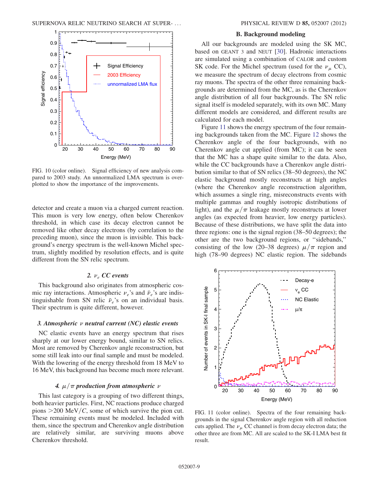<span id="page-8-0"></span>

FIG. 10 (color online). Signal efficiency of new analysis compared to 2003 study. An unnormalized LMA spectrum is overplotted to show the importance of the improvements.

detector and create a muon via a charged current reaction. This muon is very low energy, often below Cherenkov threshold, in which case its decay electron cannot be removed like other decay electrons (by correlation to the preceding muon), since the muon is invisible. This background's energy spectrum is the well-known Michel spectrum, slightly modified by resolution effects, and is quite different from the SN relic spectrum.

# 2.  $\nu_e$  CC events

This background also originates from atmospheric cosmic ray interactions. Atmospheric  $\nu_e$ 's and  $\bar{\nu}_e$ 's are indistinguishable from SN relic  $\bar{\nu}_e$ 's on an individual basis. Their spectrum is quite different, however.

## 3. Atmospheric  $\nu$  neutral current (NC) elastic events

NC elastic events have an energy spectrum that rises sharply at our lower energy bound, similar to SN relics. Most are removed by Cherenkov angle reconstruction, but some still leak into our final sample and must be modeled. With the lowering of the energy threshold from 18 MeV to 16 MeV, this background has become much more relevant.

## 4.  $\mu/\pi$  production from atmospheric  $\nu$

This last category is a grouping of two different things, both heavier particles. First, NC reactions produce charged pions  $>200$  MeV/C, some of which survive the pion cut. These remaining events must be modeled. Included with them, since the spectrum and Cherenkov angle distribution are relatively similar, are surviving muons above Cherenkov threshold.

### B. Background modeling

All our backgrounds are modeled using the SK MC, based on GEANT 3 and NEUT [\[30\]](#page-14-15). Hadronic interactions are simulated using a combination of CALOR and custom SK code. For the Michel spectrum (used for the  $\nu_{\mu}$  CC), we measure the spectrum of decay electrons from cosmic ray muons. The spectra of the other three remaining backgrounds are determined from the MC, as is the Cherenkov angle distribution of all four backgrounds. The SN relic signal itself is modeled separately, with its own MC. Many different models are considered, and different results are calculated for each model.

Figure [11](#page-8-1) shows the energy spectrum of the four remaining backgrounds taken from the MC. Figure [12](#page-9-0) shows the Cherenkov angle of the four backgrounds, with no Cherenkov angle cut applied (from MC); it can be seen that the MC has a shape quite similar to the data. Also, while the CC backgrounds have a Cherenkov angle distribution similar to that of SN relics (38–50 degrees), the NC elastic background mostly reconstructs at high angles (where the Cherenkov angle reconstruction algorithm, which assumes a single ring, misreconstructs events with multiple gammas and roughly isotropic distributions of light), and the  $\mu/\pi$  leakage mostly reconstructs at lower angles (as expected from heavier, low energy particles). Because of these distributions, we have split the data into three regions: one is the signal region (38–50 degrees); the other are the two background regions, or ''sidebands,'' consisting of the low (20–38 degrees)  $\mu/\pi$  region and high (78–90 degrees) NC elastic region. The sidebands

<span id="page-8-1"></span>

FIG. 11 (color online). Spectra of the four remaining backgrounds in the signal Cherenkov angle region with all reduction cuts applied. The  $\nu_{\mu}$  CC channel is from decay electron data; the other three are from MC. All are scaled to the SK-I LMA best fit result.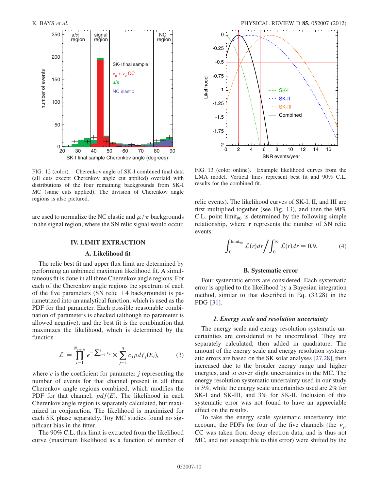<span id="page-9-0"></span>

FIG. 12 (color). Cherenkov angle of SK-I combined final data (all cuts except Cherenkov angle cut applied) overlaid with distributions of the four remaining backgrounds from SK-I MC (same cuts applied). The division of Cherenkov angle regions is also pictured.

are used to normalize the NC elastic and  $\mu/\pi$  backgrounds in the signal region, where the SN relic signal would occur.

#### IV. LIMIT EXTRACTION

## A. Likelihood fit

The relic best fit and upper flux limit are determined by performing an unbinned maximum likelihood fit. A simultaneous fit is done in all three Cherenkov angle regions. For each of the Cherenkov angle regions the spectrum of each of the five parameters (SN relic  $+4$  backgrounds) is parametrized into an analytical function, which is used as the PDF for that parameter. Each possible reasonable combination of parameters is checked (although no parameter is allowed negative), and the best fit is the combination that maximizes the likelihood, which is determined by the function

$$
\mathcal{L} = \prod_{i=1}^{N_{\text{events}}} e^{-\sum_{j=1}^{5} c_j} \times \sum_{j=1}^{5} c_j p df_j(E_i), \tag{3}
$$

where  $c$  is the coefficient for parameter  $j$  representing the number of events for that channel present in all three Cherenkov angle regions combined, which modifies the PDF for that channel,  $pdf(E)$ . The likelihood in each Cherenkov angle region is separately calculated, but maximized in conjunction. The likelihood is maximized for each SK phase separately. Toy MC studies found no significant bias in the fitter.

The 90% C.L. flux limit is extracted from the likelihood curve (maximum likelihood as a function of number of

<span id="page-9-1"></span>

FIG. 13 (color online). Example likelihood curves from the LMA model. Vertical lines represent best fit and 90% C.L. results for the combined fit.

relic events). The likelihood curves of SK-I, II, and III are first multiplied together (see Fig. [13\)](#page-9-1), and then the 90% C.L. point limit<sub>90</sub> is determined by the following simple relationship, where *r* represents the number of SN relic events:

$$
\int_0^{\text{limit}_{90}} \mathcal{L}(r) dr / \int_0^\infty \mathcal{L}(r) dr = 0.9. \tag{4}
$$

### B. Systematic error

Four systematic errors are considered. Each systematic error is applied to the likelihood by a Bayesian integration method, similar to that described in Eq. (33.28) in the PDG [[31](#page-14-16)].

### 1. Energy scale and resolution uncertainty

The energy scale and energy resolution systematic uncertainties are considered to be uncorrelated. They are separately calculated, then added in quadrature. The amount of the energy scale and energy resolution systematic errors are based on the SK solar analyses [[27](#page-14-11),[28](#page-14-12)], then increased due to the broader energy range and higher energies, and to cover slight uncertainties in the MC. The energy resolution systematic uncertainty used in our study is 3%, while the energy scale uncertainties used are 2% for SK-I and SK-III, and 3% for SK-II. Inclusion of this systematic error was not found to have an appreciable effect on the results.

To take the energy scale systematic uncertainty into account, the PDFs for four of the five channels (the  $\nu_{\mu}$ CC was taken from decay electron data, and is thus not MC, and not susceptible to this error) were shifted by the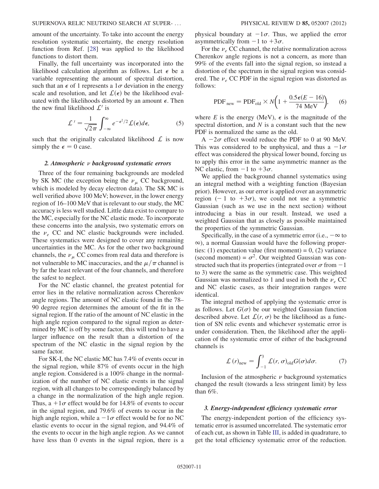amount of the uncertainty. To take into account the energy resolution systematic uncertainty, the energy resolution function from Ref. [[28](#page-14-12)] was applied to the likelihood functions to distort them.

Finally, the full uncertainty was incorporated into the likelihood calculation algorithm as follows. Let  $\epsilon$  be a variable representing the amount of spectral distortion, such that an  $\epsilon$  of 1 represents a  $1\sigma$  deviation in the energy scale and resolution, and let  $\mathcal{L}(\epsilon)$  be the likelihood evaluated with the likelihoods distorted by an amount  $\epsilon$ . Then the new final likelihood  $\mathcal{L}'$  is

$$
\mathcal{L}' = \frac{1}{\sqrt{2\pi}} \int_{-\infty}^{\infty} e^{-\epsilon^2/2} \mathcal{L}(\epsilon) d\epsilon, \tag{5}
$$

such that the originally calculated likelihood  $\mathcal L$  is now simply the  $\epsilon = 0$  case.

# 2. Atmospheric  $\nu$  background systematic errors

Three of the four remaining backgrounds are modeled by SK MC (the exception being the  $\nu_{\mu}$  CC background, which is modeled by decay electron data). The SK MC is well verified above 100 MeV; however, in the lower energy region of 16–100 MeV that is relevant to our study, the MC accuracy is less well studied. Little data exist to compare to the MC, especially for the NC elastic mode. To incorporate these concerns into the analysis, two systematic errors on the  $\nu_e$  CC and NC elastic backgrounds were included. These systematics were designed to cover any remaining uncertainties in the MC. As for the other two background channels, the  $\nu_{\mu}$  CC comes from real data and therefore is not vulnerable to MC inaccuracies, and the  $\mu/\pi$  channel is by far the least relevant of the four channels, and therefore the safest to neglect.

For the NC elastic channel, the greatest potential for error lies in the relative normalization across Cherenkov angle regions. The amount of NC elastic found in the 78– 90 degree region determines the amount of the fit in the signal region. If the ratio of the amount of NC elastic in the high angle region compared to the signal region as determined by MC is off by some factor, this will tend to have a larger influence on the result than a distortion of the spectrum of the NC elastic in the signal region by the same factor.

For SK-I, the NC elastic MC has 7.4% of events occur in the signal region, while 87% of events occur in the high angle region. Considered is a 100% change in the normalization of the number of NC elastic events in the signal region, with all changes to be correspondingly balanced by a change in the normalization of the high angle region. Thus, a  $+1\sigma$  effect would be for 14.8% of events to occur in the signal region, and 79.6% of events to occur in the high angle region, while a  $-1\sigma$  effect would be for no NC elastic events to occur in the signal region, and 94.4% of the events to occur in the high angle region. As we cannot have less than 0 events in the signal region, there is a

physical boundary at  $-1\sigma$ . Thus, we applied the error asymmetrically from  $-1$  to  $+3\sigma$ .

For the  $\nu_e$  CC channel, the relative normalization across Cherenkov angle regions is not a concern, as more than 99% of the events fall into the signal region, so instead a distortion of the spectrum in the signal region was considered. The  $\nu_e$  CC PDF in the signal region was distorted as follows:

$$
PDFnew = PDFold × N(1 + \frac{0.5\epsilon(E - 16)}{74 \text{ MeV}}),
$$
 (6)

where E is the energy (MeV),  $\epsilon$  is the magnitude of the spectral distortion, and  $N$  is a constant such that the new PDF is normalized the same as the old.

A  $-2\sigma$  effect would reduce the PDF to 0 at 90 MeV. This was considered to be unphysical, and thus a  $-1\sigma$ effect was considered the physical lower bound, forcing us to apply this error in the same asymmetric manner as the NC elastic, from  $-1$  to  $+3\sigma$ .

We applied the background channel systematics using an integral method with a weighting function (Bayesian prior). However, as our error is applied over an asymmetric region  $(-1)$  to  $+3\sigma$ ), we could not use a symmetric Gaussian (such as we use in the next section) without introducing a bias in our result. Instead, we used a weighted Gaussian that as closely as possible maintained the properties of the symmetric Gaussian.

Specifically, in the case of a symmetric error (i.e.,  $-\infty$  to  $\infty$ ), a normal Gaussian would have the following properties: (1) expectation value (first moment) =  $0$ , (2) variance (second moment) =  $\sigma^2$ . Our weighted Gaussian was constructed such that its properties (integrated over  $\sigma$  from  $-1$ to 3) were the same as the symmetric case. This weighted Gaussian was normalized to 1 and used in both the  $\nu_e$  CC and NC elastic cases, as their integration ranges were identical.

The integral method of applying the systematic error is as follows. Let  $G(\sigma)$  be our weighted Gaussian function described above. Let  $\mathcal{L}(r, \sigma)$  be the likelihood as a function of SN relic events and whichever systematic error is under consideration. Then, the likelihood after the application of the systematic error of either of the background channels is

$$
\mathcal{L}(r)_{\text{new}} = \int_{-1}^{3} \mathcal{L}(r, \sigma)_{\text{old}} G(\sigma) d\sigma. \tag{7}
$$

Inclusion of the atmospheric  $\nu$  background systematics changed the result (towards a less stringent limit) by less than 6%.

#### 3. Energy-independent efficiency systematic error

The energy-independent portion of the efficiency systematic error is assumed uncorrelated. The systematic error of each cut, as shown in Table [III,](#page-7-2) is added in quadrature, to get the total efficiency systematic error of the reduction.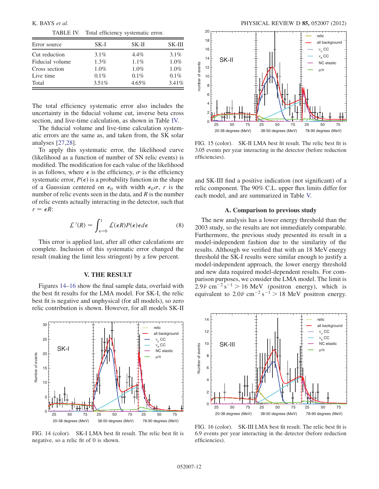<span id="page-11-0"></span>

TABLE IV. Total efficiency systematic error.

| Error source    | SK-I     | SK-II    | $SK-III$ |
|-----------------|----------|----------|----------|
| Cut reduction   | $3.1\%$  | $4.4\%$  | $3.1\%$  |
| Fiducial volume | $1.3\%$  | $1.1\%$  | $1.0\%$  |
| Cross section   | $1.0\%$  | $1.0\%$  | $1.0\%$  |
| Live time       | $0.1\%$  | $0.1\%$  | $0.1\%$  |
| Total           | $3.51\%$ | $4.65\%$ | $3.41\%$ |

The total efficiency systematic error also includes the uncertainty in the fiducial volume cut, inverse beta cross section, and live-time calculation, as shown in Table [IV.](#page-11-0)

The fiducial volume and live-time calculation systematic errors are the same as, and taken from, the SK solar analyses [[27](#page-14-11)[,28](#page-14-12)].

To apply this systematic error, the likelihood curve (likelihood as a function of number of SN relic events) is modified. The modification for each value of the likelihood is as follows, where  $\epsilon$  is the efficiency,  $\sigma$  is the efficiency systematic error,  $P(\epsilon)$  is a probability function in the shape of a Gaussian centered on  $\epsilon_0$  with width  $\epsilon_0 \sigma$ , r is the number of relic events seen in the data, and  $R$  is the number of relic events actually interacting in the detector, such that  $r = \epsilon R$ :

$$
\mathcal{L}'(R) = \int_{\epsilon=0}^{1} \mathcal{L}(\epsilon R) P(\epsilon) \epsilon d\epsilon \tag{8}
$$

This error is applied last, after all other calculations are complete. Inclusion of this systematic error changed the result (making the limit less stringent) by a few percent.

# V. THE RESULT

Figures [14–](#page-11-1)[16](#page-11-2) show the final sample data, overlaid with the best fit results for the LMA model. For SK-I, the relic best fit is negative and unphysical (for all models), so zero relic contribution is shown. However, for all models SK-II

<span id="page-11-1"></span>

FIG. 14 (color). SK-I LMA best fit result. The relic best fit is negative, so a relic fit of 0 is shown.



FIG. 15 (color). SK-II LMA best fit result. The relic best fit is 3.05 events per year interacting in the detector (before reduction efficiencies).

and SK-III find a positive indication (not significant) of a relic component. The 90% C.L. upper flux limits differ for each model, and are summarized in Table [V.](#page-12-0)

# A. Comparison to previous study

The new analysis has a lower energy threshold than the 2003 study, so the results are not immediately comparable. Furthermore, the previous study presented its result in a model-independent fashion due to the similarity of the results. Although we verified that with an 18 MeV energy threshold the SK-I results were similar enough to justify a model-independent approach, the lower energy threshold and new data required model-dependent results. For comparison purposes, we consider the LMA model. The limit is  $2.9\bar{\nu}$  cm<sup>-2</sup> s<sup>-1</sup> > 16 MeV (positron energy), which is equivalent to  $2.0\bar{\nu}$  cm<sup>-2</sup> s<sup>-1</sup> > 18 MeV positron energy.

<span id="page-11-2"></span>

FIG. 16 (color). SK-III LMA best fit result. The relic best fit is 6.9 events per year interacting in the detector (before reduction efficiencies).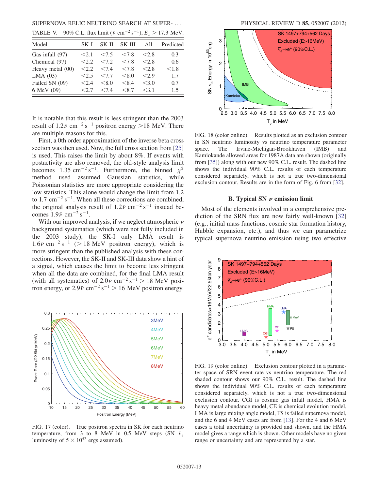SUPERNOVA RELIC NEUTRINO SEARCH AT SUPER- ... PHYSICAL REVIEW D 85, 052007 (2012)

<span id="page-12-0"></span>

| TABLE V. 90% C.L. flux limit ( $\bar{\nu}$ cm <sup>-2</sup> s <sup>-1</sup> ), $E_{\nu}$ > 17.3 MeV. |  |
|------------------------------------------------------------------------------------------------------|--|
|------------------------------------------------------------------------------------------------------|--|

| Model              | SK-I          | SK-II  | $SK-III$ | All        | Predicted |
|--------------------|---------------|--------|----------|------------|-----------|
| Gas infall (97)    | 22.1          | < 7.5  | ${<}7.8$ | < 2.8      | 0.3       |
| Chemical (97)      | < 2.2         | < 7.2  | < 7.8    | < 2.8      | 0.6       |
| Heavy metal $(00)$ | 22.2          | 27.4   | ${<}7.8$ | < 2.8      | < 1.8     |
| LMA(03)            | < 2.5         | 27.7   | < 8.0    | 2.9        | 1.7       |
| Failed SN (09)     | < 2.4         | < 8.0  | < 8.4    | $<$ 3.0    | 0.7       |
| 6 MeV (09)         | $\langle 2.7$ | $<$ 74 | < 8.7    | $\leq$ 3 1 | 1.5       |

It is notable that this result is less stringent than the 2003 result of  $1.2\bar{\nu}$  cm<sup>-2</sup> s<sup>-1</sup> positron energy >18 MeV. There are multiple reasons for this.

First, a 0th order approximation of the inverse beta cross section was then used. Now, the full cross section from [\[25\]](#page-14-9) is used. This raises the limit by about 8%. If events with postactivity are also removed, the old-style analysis limit becomes 1.35 cm<sup>-2</sup> s<sup>-1</sup>. Furthermore, the binned  $\chi^2$ method used assumed Gaussian statistics, while Poissonian statistics are more appropriate considering the low statistics. This alone would change the limit from 1.2 to 1.7 cm<sup> $-2$ </sup> s<sup>-1</sup>. When all these corrections are combined, the original analysis result of  $1.2\bar{\nu}$  cm<sup>-2</sup> s<sup>-1</sup> instead becomes  $1.9\bar{\nu}$  cm<sup>-2</sup> s<sup>-1</sup>.

With our improved analysis, if we neglect atmospheric  $\nu$ background systematics (which were not fully included in the 2003 study), the SK-I only LMA result is  $1.6\bar{\nu}$  cm<sup>-2</sup> s<sup>-1</sup> (> 18 MeV positron energy), which is more stringent than the published analysis with these corrections. However, the SK-II and SK-III data show a hint of a signal, which causes the limit to become less stringent when all the data are combined, for the final LMA result (with all systematics) of  $2.0\bar{\nu}$  cm<sup>-2</sup> s<sup>-1</sup> > 18 MeV positron energy, or  $2.9\bar{\nu}$  cm<sup>-2</sup> s<sup>-1</sup> > 16 MeV positron energy.

<span id="page-12-1"></span>

FIG. 17 (color). True positron spectra in SK for each neutrino temperature, from 3 to 8 MeV in 0.5 MeV steps (SN  $\bar{\nu}_e$ ) luminosity of  $5 \times 10^{52}$  ergs assumed).



<span id="page-12-2"></span>

FIG. 18 (color online). Results plotted as an exclusion contour in SN neutrino luminosity vs neutrino temperature parameter space. The Irvine-Michigan-Brookhaven (IMB) and Kamiokande allowed areas for 1987A data are shown (originally from [\[35\]](#page-14-18)) along with our new 90% C.L. result. The dashed line shows the individual 90% C.L. results of each temperature considered separately, which is not a true two-dimensional exclusion contour. Results are in the form of Fig. 6 from [[32](#page-14-17)].

#### B. Typical SN  $\nu$  emission limit

Most of the elements involved in a comprehensive prediction of the SRN flux are now fairly well-known [\[32\]](#page-14-17) (e.g., initial mass functions, cosmic star formation history, Hubble expansion, etc.), and thus we can parametrize typical supernova neutrino emission using two effective

<span id="page-12-3"></span>

FIG. 19 (color online). Exclusion contour plotted in a parameter space of SRN event rate vs neutrino temperature. The red shaded contour shows our 90% C.L. result. The dashed line shows the individual 90% C.L. results of each temperature considered separately, which is not a true two-dimensional exclusion contour. CGI is cosmic gas infall model, HMA is heavy metal abundance model, CE is chemical evolution model, LMA is large mixing angle model, FS is failed supernova model, and the 6 and 4 MeV cases are from [\[13\]](#page-13-11). For the 4 and 6 MeV cases a total uncertainty is provided and shown, and the HMA model gives a range which is shown. Other models have no given range or uncertainty and are represented by a star.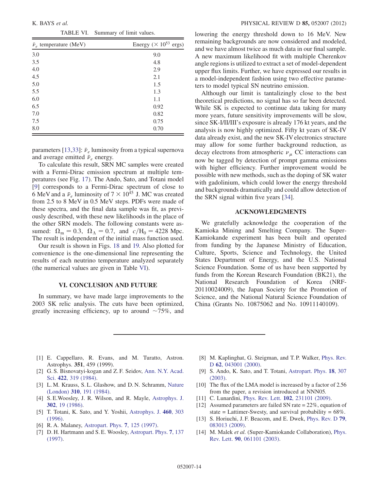|  | TABLE VI. Summary of limit values. |
|--|------------------------------------|
|--|------------------------------------|

<span id="page-13-13"></span>

| $\bar{\nu}_e$ temperature (MeV) | Energy ( $\times$ 10 <sup>53</sup> ergs) |
|---------------------------------|------------------------------------------|
| 3.0                             | 9.0                                      |
| 3.5                             | 4.8                                      |
| 4.0                             | 2.9                                      |
| 4.5                             | 2.1                                      |
| 5.0                             | 1.5                                      |
| 5.5                             | 1.3                                      |
| 6.0                             | 1.1                                      |
| 6.5                             | 0.92                                     |
| 7.0                             | 0.82                                     |
| 7.5                             | 0.75                                     |
| 8.0                             | 0.70                                     |

parameters [[13](#page-13-11),[33](#page-14-19)]:  $\bar{\nu}_e$  luminosity from a typical supernova and average emitted  $\bar{\nu}_e$  energy.

To calculate this result, SRN MC samples were created with a Fermi-Dirac emission spectrum at multiple temperatures (see Fig. [17\)](#page-12-1). The Ando, Sato, and Totani model [\[9\]](#page-13-7) corresponds to a Fermi-Dirac spectrum of close to 6 MeV and a  $\bar{\nu}_e$  luminosity of  $7 \times 10^{45}$  J. MC was created from 2.5 to 8 MeV in 0.5 MeV steps. PDFs were made of these spectra, and the final data sample was fit, as previously described, with these new likelihoods in the place of the other SRN models. The following constants were assumed:  $\Omega_{\rm m} = 0.3$ ,  $\Omega_{\Lambda} = 0.7$ , and  $c/H_0 = 4228$  Mpc. The result is independent of the initial mass function used.

Our result is shown in Figs. [18](#page-12-2) and [19.](#page-12-3) Also plotted for convenience is the one-dimensional line representing the results of each neutrino temperature analyzed separately (the numerical values are given in Table [VI](#page-13-13)).

## VI. CONCLUSION AND FUTURE

In summary, we have made large improvements to the 2003 SK relic analysis. The cuts have been optimized, greatly increasing efficiency, up to around  $\sim 75\%$ , and lowering the energy threshold down to 16 MeV. New remaining backgrounds are now considered and modeled, and we have almost twice as much data in our final sample. A new maximum likelihood fit with multiple Cherenkov angle regions is utilized to extract a set of model-dependent upper flux limits. Further, we have expressed our results in a model-independent fashion using two effective parameters to model typical SN neutrino emission.

Although our limit is tantalizingly close to the best theoretical predictions, no signal has so far been detected. While SK is expected to continue data taking for many more years, future sensitivity improvements will be slow, since SK-I/II/III's exposure is already 176 kt years, and the analysis is now highly optimized. Fifty kt years of SK-IV data already exist, and the new SK-IV electronics structure may allow for some further background reduction, as decay electrons from atmospheric  $\nu_{\mu}$  CC interactions can now be tagged by detection of prompt gamma emissions with higher efficiency. Further improvement would be possible with new methods, such as the doping of SK water with gadolinium, which could lower the energy threshold and backgrounds dramatically and could allow detection of the SRN signal within five years [\[34\]](#page-14-20).

## ACKNOWLEDGMENTS

We gratefully acknowledge the cooperation of the Kamioka Mining and Smelting Company. The Super-Kamiokande experiment has been built and operated from funding by the Japanese Ministry of Education, Culture, Sports, Science and Technology, the United States Department of Energy, and the U.S. National Science Foundation. Some of us have been supported by funds from the Korean Research Foundation (BK21), the National Research Foundation of Korea (NRF-20110024009), the Japan Society for the Promotion of Science, and the National Natural Science Foundation of China (Grants No. 10875062 and No. 10911140109).

- <span id="page-13-0"></span>[1] E. Cappellaro, R. Evans, and M. Turatto, Astron. Astrophys. 351, 459 (1999).
- <span id="page-13-1"></span>[2] G. S. Bisnovatyi-kogan and Z. F. Seidov, [Ann. N.Y. Acad.](http://dx.doi.org/10.1111/j.1749-6632.1984.tb23362.x) Sci. 422[, 319 \(1984\)](http://dx.doi.org/10.1111/j.1749-6632.1984.tb23362.x).
- [3] L. M. Krauss, S. L. Glashow, and D. N. Schramm, [Nature](http://dx.doi.org/10.1038/310191a0) (London) 310[, 191 \(1984\).](http://dx.doi.org/10.1038/310191a0)
- <span id="page-13-2"></span>[4] S. E.Woosley, J. R. Wilson, and R. Mayle, [Astrophys. J.](http://dx.doi.org/10.1086/163968) 302[, 19 \(1986\)](http://dx.doi.org/10.1086/163968).
- <span id="page-13-3"></span>[5] T. Totani, K. Sato, and Y. Yoshii, [Astrophys. J.](http://dx.doi.org/10.1086/176970) 460, 303 [\(1996\)](http://dx.doi.org/10.1086/176970).
- <span id="page-13-5"></span><span id="page-13-4"></span>[6] R. A. Malaney, [Astropart. Phys.](http://dx.doi.org/10.1016/S0927-6505(97)00012-1) 7, 125 (1997).
- [7] D. H. Hartmann and S. E. Woosley, [Astropart. Phys.](http://dx.doi.org/10.1016/S0927-6505(97)00018-2) 7, 137 [\(1997\)](http://dx.doi.org/10.1016/S0927-6505(97)00018-2).
- <span id="page-13-6"></span>[8] M. Kaplinghat, G. Steigman, and T. P. Walker, [Phys. Rev.](http://dx.doi.org/10.1103/PhysRevD.62.043001) D **62**[, 043001 \(2000\)](http://dx.doi.org/10.1103/PhysRevD.62.043001).
- <span id="page-13-7"></span>[9] S. Ando, K. Sato, and T. Totani, [Astropart. Phys.](http://dx.doi.org/10.1016/S0927-6505(02)00152-4) 18, 307 [\(2003\)](http://dx.doi.org/10.1016/S0927-6505(02)00152-4).
- <span id="page-13-8"></span>[10] The flux of the LMA model is increased by a factor of 2.56 from the paper, a revision introduced at NNN05.
- <span id="page-13-10"></span><span id="page-13-9"></span>[11] C. Lunardini, Phys. Rev. Lett. **102**[, 231101 \(2009\)](http://dx.doi.org/10.1103/PhysRevLett.102.231101).
- [12] Assumed parameters are failed SN rate = 22%, equation of state = Lattimer-Swesty, and survival probability =  $68\%$ .
- <span id="page-13-11"></span>[13] S. Horiuchi, J. F. Beacom, and E. Dwek, [Phys. Rev. D](http://dx.doi.org/10.1103/PhysRevD.79.083013) 79, [083013 \(2009\).](http://dx.doi.org/10.1103/PhysRevD.79.083013)
- <span id="page-13-12"></span>[14] M. Malek et al. (Super-Kamiokande Collaboration), [Phys.](http://dx.doi.org/10.1103/PhysRevLett.90.061101) Rev. Lett. 90[, 061101 \(2003\)](http://dx.doi.org/10.1103/PhysRevLett.90.061101).